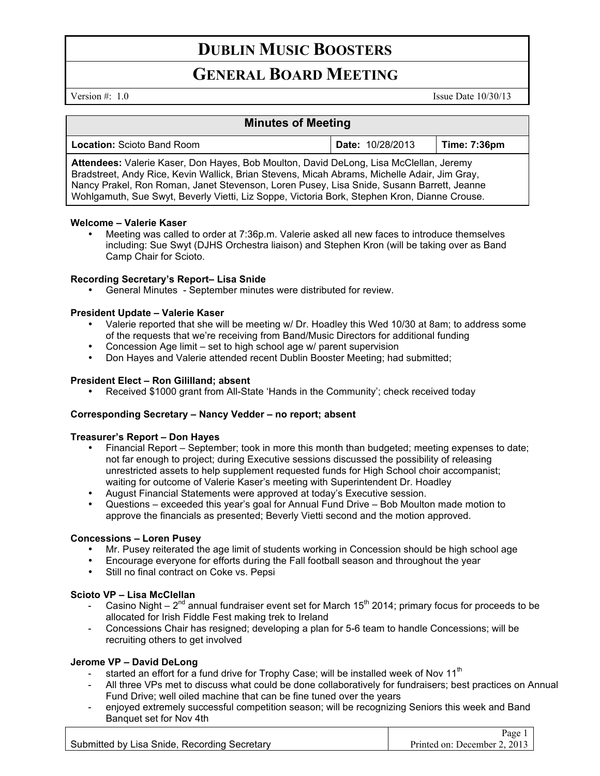# **DUBLIN MUSIC BOOSTERS**

# **GENERAL BOARD MEETING**

Version  $\#$ : 1.0 Issue Date 10/30/13

 $\overline{D}_{\text{max}}$  1

# **Minutes of Meeting**

| <b>Location: Scioto Band Room</b>                                                                                                                                                                                                                                                   | <b>Date: 10/28/2013</b> | Time: 7:36pm |
|-------------------------------------------------------------------------------------------------------------------------------------------------------------------------------------------------------------------------------------------------------------------------------------|-------------------------|--------------|
| Attendees: Valerie Kaser, Don Hayes, Bob Moulton, David DeLong, Lisa McClellan, Jeremy<br>Bradstreet, Andy Rice, Kevin Wallick, Brian Stevens, Micah Abrams, Michelle Adair, Jim Gray,<br>Nancy Prakel, Ron Roman, Janet Stevenson, Loren Pusey, Lisa Snide, Susann Barrett, Jeanne |                         |              |
| Wohlgamuth, Sue Swyt, Beverly Vietti, Liz Soppe, Victoria Bork, Stephen Kron, Dianne Crouse.                                                                                                                                                                                        |                         |              |

#### **Welcome – Valerie Kaser**

• Meeting was called to order at 7:36p.m. Valerie asked all new faces to introduce themselves including: Sue Swyt (DJHS Orchestra liaison) and Stephen Kron (will be taking over as Band Camp Chair for Scioto.

# **Recording Secretary's Report– Lisa Snide**

• General Minutes - September minutes were distributed for review.

# **President Update – Valerie Kaser**

- Valerie reported that she will be meeting w/ Dr. Hoadley this Wed 10/30 at 8am; to address some of the requests that we're receiving from Band/Music Directors for additional funding
- Concession Age limit set to high school age w/ parent supervision
- Don Hayes and Valerie attended recent Dublin Booster Meeting; had submitted;

# **President Elect – Ron Gililland; absent**

• Received \$1000 grant from All-State 'Hands in the Community'; check received today

#### **Corresponding Secretary – Nancy Vedder – no report; absent**

#### **Treasurer's Report – Don Hayes**

- Financial Report September; took in more this month than budgeted; meeting expenses to date; not far enough to project; during Executive sessions discussed the possibility of releasing unrestricted assets to help supplement requested funds for High School choir accompanist; waiting for outcome of Valerie Kaser's meeting with Superintendent Dr. Hoadley
- August Financial Statements were approved at today's Executive session.
- Questions exceeded this year's goal for Annual Fund Drive Bob Moulton made motion to approve the financials as presented; Beverly Vietti second and the motion approved.

#### **Concessions – Loren Pusey**

- Mr. Pusey reiterated the age limit of students working in Concession should be high school age
- Encourage everyone for efforts during the Fall football season and throughout the year
- Still no final contract on Coke vs. Pepsi

# **Scioto VP – Lisa McClellan**

- Casino Night  $2^{nd}$  annual fundraiser event set for March 15<sup>th</sup> 2014; primary focus for proceeds to be allocated for Irish Fiddle Fest making trek to Ireland
- Concessions Chair has resigned; developing a plan for 5-6 team to handle Concessions; will be recruiting others to get involved

#### **Jerome VP – David DeLong**

- started an effort for a fund drive for Trophy Case; will be installed week of Nov  $11<sup>th</sup>$
- All three VPs met to discuss what could be done collaboratively for fundraisers; best practices on Annual Fund Drive; well oiled machine that can be fine tuned over the years
- enjoyed extremely successful competition season; will be recognizing Seniors this week and Band Banquet set for Nov 4th

|                                              | rage.                        |
|----------------------------------------------|------------------------------|
| Submitted by Lisa Snide, Recording Secretary | Printed on: December 2, 2013 |